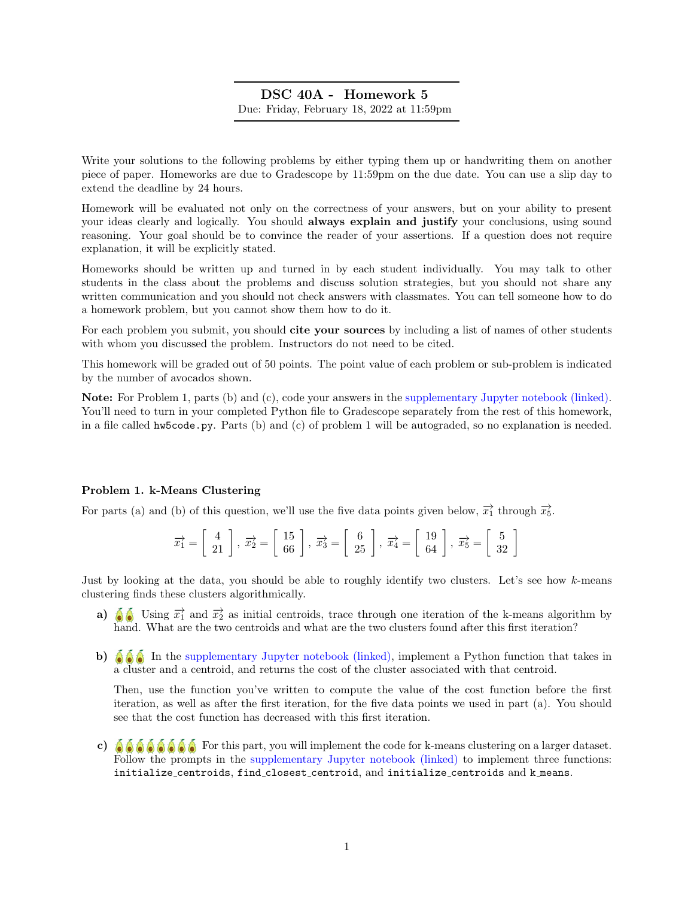# DSC 40A - Homework 5 Due: Friday, February 18, 2022 at 11:59pm

Write your solutions to the following problems by either typing them up or handwriting them on another piece of paper. Homeworks are due to Gradescope by 11:59pm on the due date. You can use a slip day to extend the deadline by 24 hours.

Homework will be evaluated not only on the correctness of your answers, but on your ability to present your ideas clearly and logically. You should always explain and justify your conclusions, using sound reasoning. Your goal should be to convince the reader of your assertions. If a question does not require explanation, it will be explicitly stated.

Homeworks should be written up and turned in by each student individually. You may talk to other students in the class about the problems and discuss solution strategies, but you should not share any written communication and you should not check answers with classmates. You can tell someone how to do a homework problem, but you cannot show them how to do it.

For each problem you submit, you should cite your sources by including a list of names of other students with whom you discussed the problem. Instructors do not need to be cited.

This homework will be graded out of 50 points. The point value of each problem or sub-problem is indicated by the number of avocados shown.

Note: For Problem 1, parts (b) and (c), code your answers in the [supplementary Jupyter notebook \(linked\).](http://datahub.ucsd.edu/user-redirect/git-sync?repo=https://github.com/dsc-courses/dsc40a-2022-wi&subPath=resources/homework/hw5/hw5code.ipynb) You'll need to turn in your completed Python file to Gradescope separately from the rest of this homework, in a file called hw5code.py. Parts (b) and (c) of problem 1 will be autograded, so no explanation is needed.

## Problem 1. k-Means Clustering

For parts (a) and (b) of this question, we'll use the five data points given below,  $\overrightarrow{x_1}$  through  $\overrightarrow{x_5}$ .

$$
\overrightarrow{x_1} = \begin{bmatrix} 4 \\ 21 \end{bmatrix}, \overrightarrow{x_2} = \begin{bmatrix} 15 \\ 66 \end{bmatrix}, \overrightarrow{x_3} = \begin{bmatrix} 6 \\ 25 \end{bmatrix}, \overrightarrow{x_4} = \begin{bmatrix} 19 \\ 64 \end{bmatrix}, \overrightarrow{x_5} = \begin{bmatrix} 5 \\ 32 \end{bmatrix}
$$

Just by looking at the data, you should be able to roughly identify two clusters. Let's see how k-means clustering finds these clusters algorithmically.

- a)  $\delta$  Using  $\vec{x}_1$  and  $\vec{x}_2$  as initial centroids, trace through one iteration of the k-means algorithm by hand. What are the two centroids and what are the two clusters found after this first iteration?
- b)  $\delta \hat{\mathcal{S}}$  In the [supplementary Jupyter notebook \(linked\),](http://datahub.ucsd.edu/user-redirect/git-sync?repo=https://github.com/dsc-courses/dsc40a-2022-wi&subPath=resources/homework/hw5/hw5code.ipynb) implement a Python function that takes in a cluster and a centroid, and returns the cost of the cluster associated with that centroid.

Then, use the function you've written to compute the value of the cost function before the first iteration, as well as after the first iteration, for the five data points we used in part (a). You should see that the cost function has decreased with this first iteration.

c)  $\delta \delta \delta \delta \delta \delta$  For this part, you will implement the code for k-means clustering on a larger dataset. Follow the prompts in the [supplementary Jupyter notebook \(linked\)](http://datahub.ucsd.edu/user-redirect/git-sync?repo=https://github.com/dsc-courses/dsc40a-2022-wi&subPath=resources/homework/hw5/hw5code.ipynb) to implement three functions: initialize centroids, find closest centroid, and initialize centroids and k means.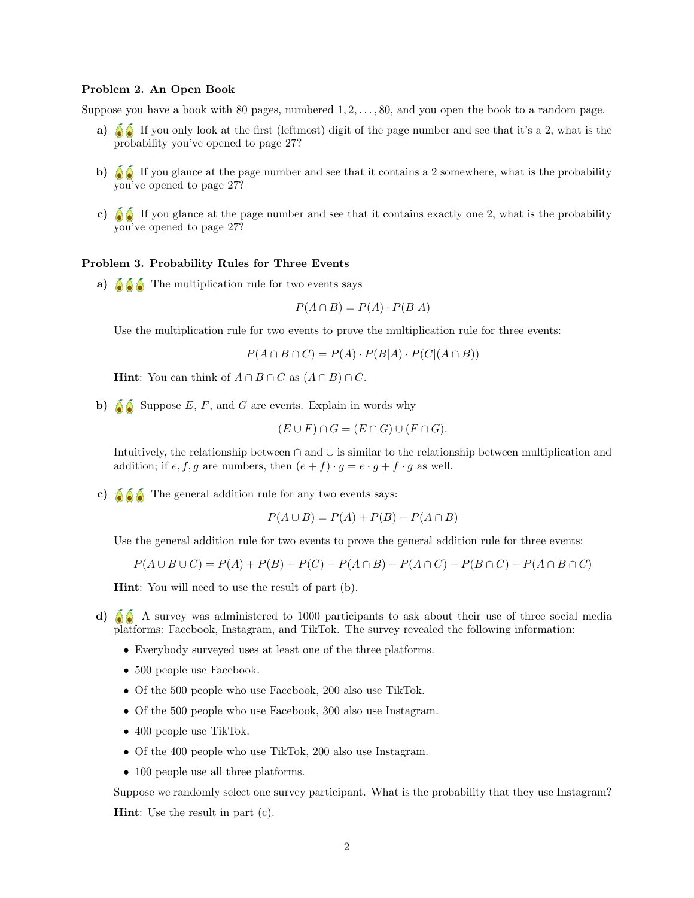#### Problem 2. An Open Book

Suppose you have a book with 80 pages, numbered  $1, 2, \ldots, 80$ , and you open the book to a random page.

- a)  $\delta$  If you only look at the first (leftmost) digit of the page number and see that it's a 2, what is the probability you've opened to page 27?
- b)  $\delta$  If you glance at the page number and see that it contains a 2 somewhere, what is the probability you've opened to page 27?
- c)  $\bullet$  If you glance at the page number and see that it contains exactly one 2, what is the probability you've opened to page 27?

#### Problem 3. Probability Rules for Three Events

a)  $\bullet$   $\bullet$  The multiplication rule for two events says

$$
P(A \cap B) = P(A) \cdot P(B|A)
$$

Use the multiplication rule for two events to prove the multiplication rule for three events:

$$
P(A \cap B \cap C) = P(A) \cdot P(B|A) \cdot P(C|(A \cap B))
$$

**Hint:** You can think of  $A \cap B \cap C$  as  $(A \cap B) \cap C$ .

b)  $\bigcirc$  Suppose E, F, and G are events. Explain in words why

$$
(E \cup F) \cap G = (E \cap G) \cup (F \cap G).
$$

Intuitively, the relationship between ∩ and ∪ is similar to the relationship between multiplication and addition; if e, f, g are numbers, then  $(e + f) \cdot g = e \cdot g + f \cdot g$  as well.

c)  $\left( \begin{array}{c} \bullet \\ \bullet \end{array} \right)$  The general addition rule for any two events says:

$$
P(A \cup B) = P(A) + P(B) - P(A \cap B)
$$

Use the general addition rule for two events to prove the general addition rule for three events:

$$
P(A \cup B \cup C) = P(A) + P(B) + P(C) - P(A \cap B) - P(A \cap C) - P(B \cap C) + P(A \cap B \cap C)
$$

Hint: You will need to use the result of part (b).

- d) A survey was administered to 1000 participants to ask about their use of three social media platforms: Facebook, Instagram, and TikTok. The survey revealed the following information:
	- Everybody surveyed uses at least one of the three platforms.
	- 500 people use Facebook.
	- Of the 500 people who use Facebook, 200 also use TikTok.
	- Of the 500 people who use Facebook, 300 also use Instagram.
	- 400 people use TikTok.
	- Of the 400 people who use TikTok, 200 also use Instagram.
	- 100 people use all three platforms.

Suppose we randomly select one survey participant. What is the probability that they use Instagram? Hint: Use the result in part (c).